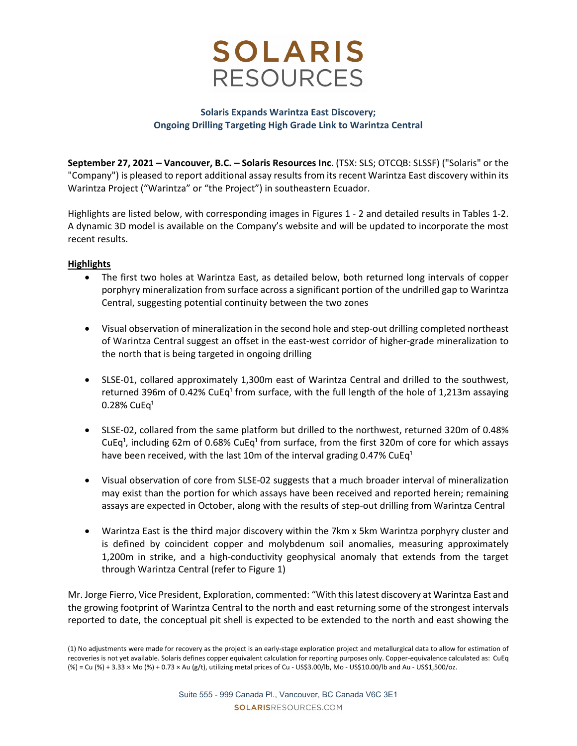

## **Solaris Expands Warintza East Discovery; Ongoing Drilling Targeting High Grade Link to Warintza Central**

**September 27, 2021 – Vancouver, B.C. – Solaris Resources Inc**. (TSX: SLS; OTCQB: SLSSF) ("Solaris" or the "Company") is pleased to report additional assay results from its recent Warintza East discovery within its Warintza Project ("Warintza" or "the Project") in southeastern Ecuador.

Highlights are listed below, with corresponding images in Figures 1 ‐ 2 and detailed results in Tables 1‐2. A dynamic 3D model is available on the Company's website and will be updated to incorporate the most recent results.

## **Highlights**

- The first two holes at Warintza East, as detailed below, both returned long intervals of copper porphyry mineralization from surface across a significant portion of the undrilled gap to Warintza Central, suggesting potential continuity between the two zones
- Visual observation of mineralization in the second hole and step‐out drilling completed northeast of Warintza Central suggest an offset in the east-west corridor of higher-grade mineralization to the north that is being targeted in ongoing drilling
- SLSE-01, collared approximately 1,300m east of Warintza Central and drilled to the southwest, returned 396m of 0.42% CuEq<sup>1</sup> from surface, with the full length of the hole of 1,213m assaying  $0.28\%$  CuEq<sup>1</sup>
- SLSE-02, collared from the same platform but drilled to the northwest, returned 320m of 0.48% CuEq<sup>1</sup>, including 62m of 0.68% CuEq<sup>1</sup> from surface, from the first 320m of core for which assays have been received, with the last 10m of the interval grading 0.47% CuEq<sup>1</sup>
- Visual observation of core from SLSE‐02 suggests that a much broader interval of mineralization may exist than the portion for which assays have been received and reported herein; remaining assays are expected in October, along with the results of step‐out drilling from Warintza Central
- Warintza East is the third major discovery within the 7km x 5km Warintza porphyry cluster and is defined by coincident copper and molybdenum soil anomalies, measuring approximately 1,200m in strike, and a high‐conductivity geophysical anomaly that extends from the target through Warintza Central (refer to Figure 1)

Mr. Jorge Fierro, Vice President, Exploration, commented: "With thislatest discovery at Warintza East and the growing footprint of Warintza Central to the north and east returning some of the strongest intervals reported to date, the conceptual pit shell is expected to be extended to the north and east showing the

<sup>(1)</sup> No adjustments were made for recovery as the project is an early‐stage exploration project and metallurgical data to allow for estimation of recoveries is not yet available. Solaris defines copper equivalent calculation for reporting purposes only. Copper‐equivalence calculated as: CuEq (%) = Cu (%) + 3.33 × Mo (%) + 0.73 × Au (g/t), utilizing metal prices of Cu ‐ US\$3.00/lb, Mo ‐ US\$10.00/lb and Au ‐ US\$1,500/oz.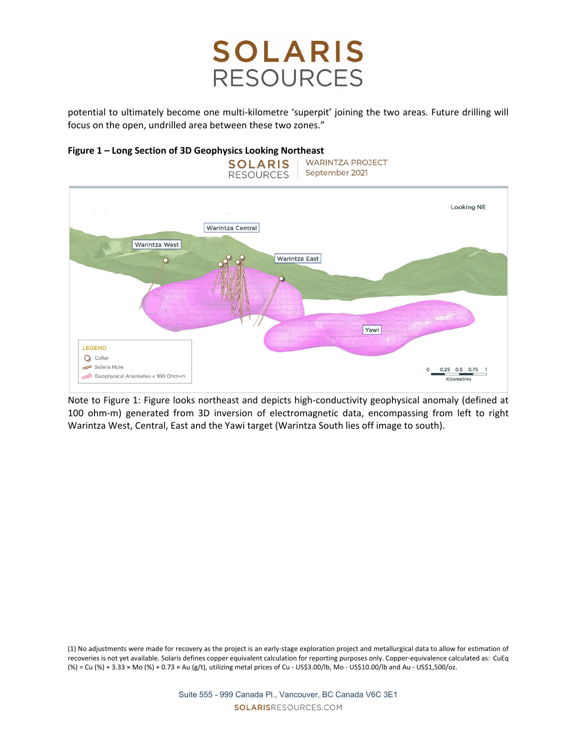potential to ultimately become one multi-kilometre 'superpit' joining the two areas. Future drilling will focus on the open, undrilled area between these two zones."



**Figure 1 – Long Section of 3D Geophysics Looking Northeast**

Note to Figure 1: Figure looks northeast and depicts high‐conductivity geophysical anomaly (defined at 100 ohm-m) generated from 3D inversion of electromagnetic data, encompassing from left to right Warintza West, Central, East and the Yawi target (Warintza South lies off image to south).

(1) No adjustments were made for recovery as the project is an early‐stage exploration project and metallurgical data to allow for estimation of recoveries is not yet available. Solaris defines copper equivalent calculation for reporting purposes only. Copper‐equivalence calculated as: CuEq (%) = Cu (%) + 3.33 × Mo (%) + 0.73 × Au (g/t), utilizing metal prices of Cu ‐ US\$3.00/lb, Mo ‐ US\$10.00/lb and Au ‐ US\$1,500/oz.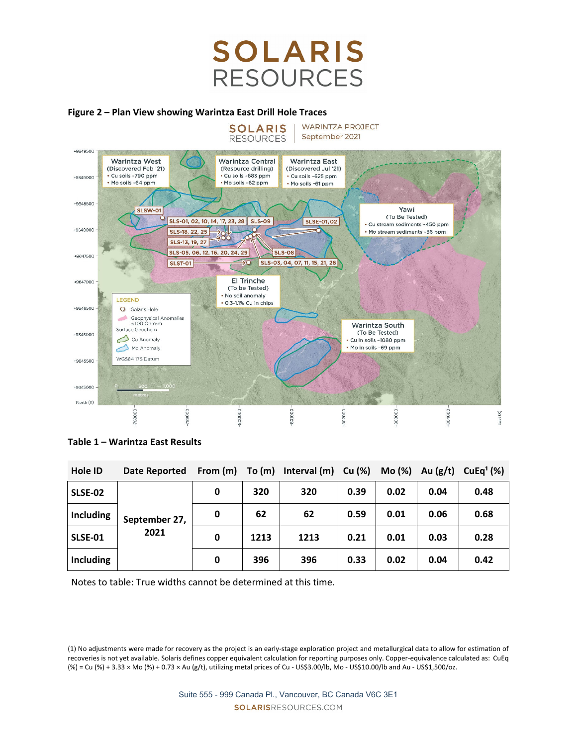## **Figure 2 – Plan View showing Warintza East Drill Hole Traces**



**Table 1 – Warintza East Results** 

| <b>Hole ID</b> | Date Reported         | From (m) | To (m) | Interval (m) | Cu (%) | Mo(%) | Au $(g/t)$ | CuEq <sup>1</sup> (%) |
|----------------|-----------------------|----------|--------|--------------|--------|-------|------------|-----------------------|
| <b>SLSE-02</b> | September 27,<br>2021 | 0        | 320    | 320          | 0.39   | 0.02  | 0.04       | 0.48                  |
| Including      |                       | 0        | 62     | 62           | 0.59   | 0.01  | 0.06       | 0.68                  |
| SLSE-01        |                       | 0        | 1213   | 1213         | 0.21   | 0.01  | 0.03       | 0.28                  |
| Including      |                       | 0        | 396    | 396          | 0.33   | 0.02  | 0.04       | 0.42                  |

Notes to table: True widths cannot be determined at this time.

<sup>(1)</sup> No adjustments were made for recovery as the project is an early‐stage exploration project and metallurgical data to allow for estimation of recoveries is not yet available. Solaris defines copper equivalent calculation for reporting purposes only. Copper‐equivalence calculated as: CuEq (%) = Cu (%) + 3.33 × Mo (%) + 0.73 × Au (g/t), utilizing metal prices of Cu ‐ US\$3.00/lb, Mo ‐ US\$10.00/lb and Au ‐ US\$1,500/oz.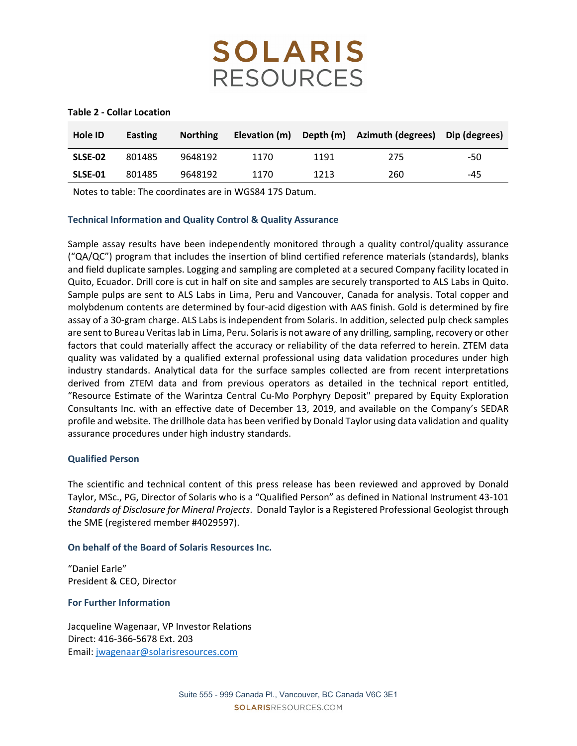#### **Table 2 ‐ Collar Location**

| Hole ID | Easting | <b>Northing</b> | Elevation (m) |      | Depth (m) Azimuth (degrees) | Dip (degrees) |
|---------|---------|-----------------|---------------|------|-----------------------------|---------------|
| SLSE-02 | 801485  | 9648192         | 1170          | 1191 | 275                         | -50           |
| SLSE-01 | 801485  | 9648192         | 1170          | 1213 | 260                         | -45           |

Notes to table: The coordinates are in WGS84 17S Datum.

## **Technical Information and Quality Control & Quality Assurance**

Sample assay results have been independently monitored through a quality control/quality assurance ("QA/QC") program that includes the insertion of blind certified reference materials (standards), blanks and field duplicate samples. Logging and sampling are completed at a secured Company facility located in Quito, Ecuador. Drill core is cut in half on site and samples are securely transported to ALS Labs in Quito. Sample pulps are sent to ALS Labs in Lima, Peru and Vancouver, Canada for analysis. Total copper and molybdenum contents are determined by four‐acid digestion with AAS finish. Gold is determined by fire assay of a 30‐gram charge. ALS Labs is independent from Solaris. In addition, selected pulp check samples are sent to Bureau Veritas lab in Lima, Peru. Solaris is not aware of any drilling, sampling, recovery or other factors that could materially affect the accuracy or reliability of the data referred to herein. ZTEM data quality was validated by a qualified external professional using data validation procedures under high industry standards. Analytical data for the surface samples collected are from recent interpretations derived from ZTEM data and from previous operators as detailed in the technical report entitled, "Resource Estimate of the Warintza Central Cu‐Mo Porphyry Deposit" prepared by Equity Exploration Consultants Inc. with an effective date of December 13, 2019, and available on the Company's SEDAR profile and website. The drillhole data has been verified by Donald Taylor using data validation and quality assurance procedures under high industry standards.

## **Qualified Person**

The scientific and technical content of this press release has been reviewed and approved by Donald Taylor, MSc., PG, Director of Solaris who is a "Qualified Person" as defined in National Instrument 43‐101 *Standards of Disclosure for Mineral Projects*. Donald Taylor is a Registered Professional Geologist through the SME (registered member #4029597).

## **On behalf of the Board of Solaris Resources Inc.**

"Daniel Earle" President & CEO, Director

## **For Further Information**

Jacqueline Wagenaar, VP Investor Relations Direct: 416‐366‐5678 Ext. 203 Email: jwagenaar@solarisresources.com